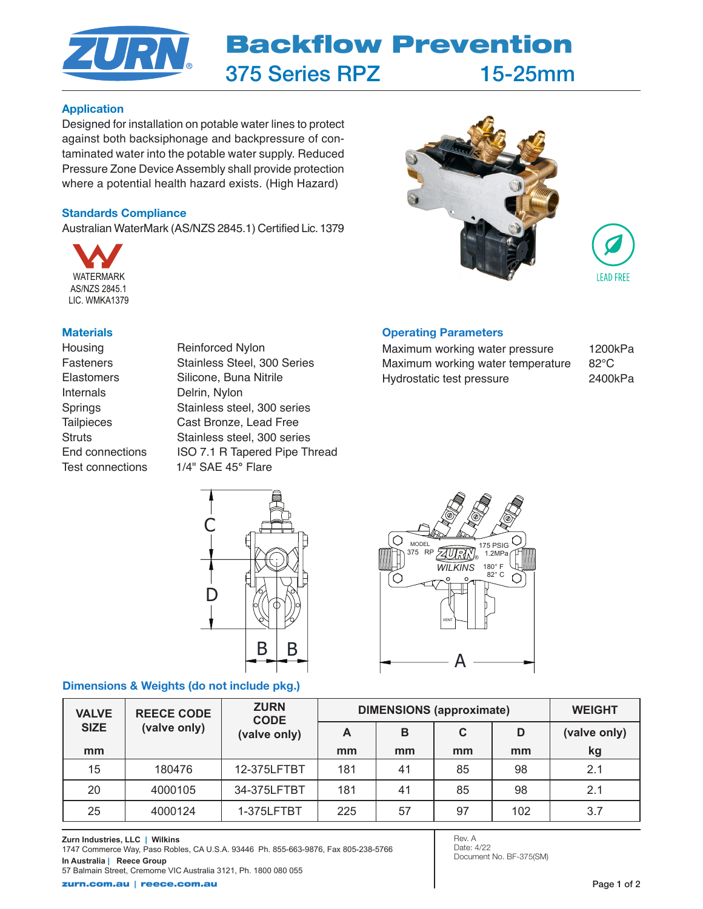

#### Application

Designed for installation on potable water lines to protect against both backsiphonage and backpressure of contaminated water into the potable water supply. Reduced Pressure Zone Device Assembly shall provide protection where a potential health hazard exists. (High Hazard)

### Standards Compliance

Australian WaterMark (AS/NZS 2845.1) Certified Lic. 1379



#### **Materials**

Internals Delrin, Nylon

Housing Reinforced Nylon Fasteners Stainless Steel, 300 Series Elastomers Silicone, Buna Nitrile Springs Stainless steel, 300 series Tailpieces Cast Bronze, Lead Free Struts Stainless steel, 300 series End connections ISO 7.1 R Tapered Pipe Thread Test connections 1/4" SAE 45° Flare



## Operating Parameters

Maximum working water pressure 1200kPa Maximum working water temperature 82°C Hydrostatic test pressure 2400kPa



## Dimensions & Weights (do not include pkg.)



| <b>VALVE</b> | <b>REECE CODE</b><br>(valve only) | <b>ZURN</b><br><b>CODE</b><br>(valve only) | <b>DIMENSIONS (approximate)</b> |    |    |     | <b>WEIGHT</b> |
|--------------|-----------------------------------|--------------------------------------------|---------------------------------|----|----|-----|---------------|
| <b>SIZE</b>  |                                   |                                            | A                               | в  | C  | D   | (valve only)  |
| mm           |                                   |                                            | mm                              | mm | mm | mm  | kg            |
| 15           | 180476                            | 12-375LFTBT                                | 181                             | 41 | 85 | 98  | 2.1           |
| 20           | 4000105                           | 34-375LFTBT                                | 181                             | 41 | 85 | 98  | 2.1           |
| 25           | 4000124                           | 1-375LFTBT                                 | 225                             | 57 | 97 | 102 | 3.7           |

Rev. A Date: 4/22 Document No. BF-375(SM)